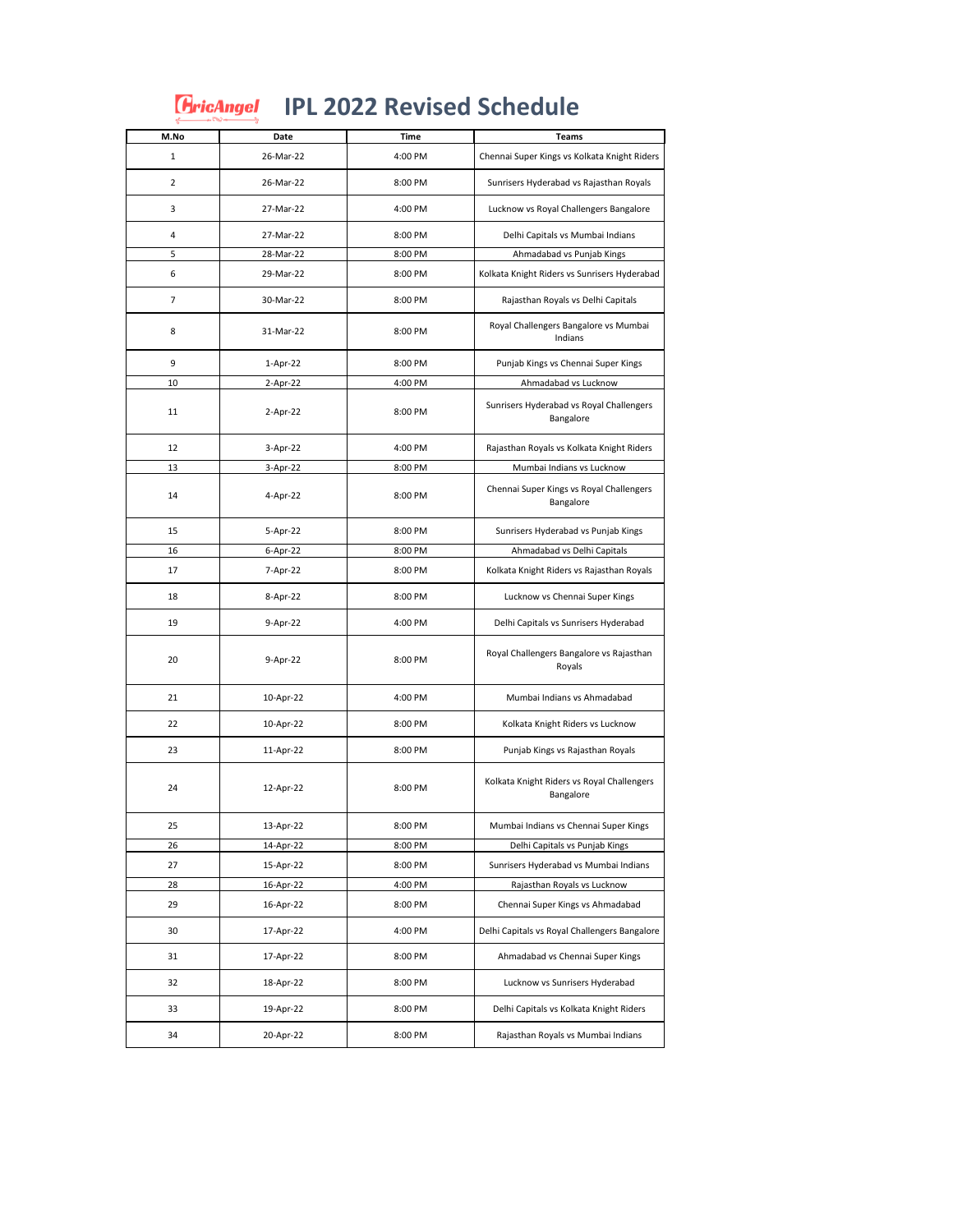|                | <b>FricAngel</b> | <b>IPL 2022 Revised Schedule</b> |                                                         |
|----------------|------------------|----------------------------------|---------------------------------------------------------|
| M.No           | Date             | <b>Time</b>                      | Teams                                                   |
| $\mathbf{1}$   | 26-Mar-22        | 4:00 PM                          | Chennai Super Kings vs Kolkata Knight Riders            |
| $\overline{2}$ | 26-Mar-22        | 8:00 PM                          | Sunrisers Hyderabad vs Rajasthan Royals                 |
| 3              | 27-Mar-22        | 4:00 PM                          | Lucknow vs Royal Challengers Bangalore                  |
| 4              | 27-Mar-22        | 8:00 PM                          | Delhi Capitals vs Mumbai Indians                        |
| 5              | 28-Mar-22        | 8:00 PM                          | Ahmadabad vs Punjab Kings                               |
| 6              | 29-Mar-22        | 8:00 PM                          | Kolkata Knight Riders vs Sunrisers Hyderabad            |
| 7              | 30-Mar-22        | 8:00 PM                          | Rajasthan Royals vs Delhi Capitals                      |
| 8              | 31-Mar-22        | 8:00 PM                          | Royal Challengers Bangalore vs Mumbai<br>Indians        |
| 9              | $1-Apr-22$       | 8:00 PM                          | Punjab Kings vs Chennai Super Kings                     |
| 10             | 2-Apr-22         | 4:00 PM                          | Ahmadabad vs Lucknow                                    |
| 11             | 2-Apr-22         | 8:00 PM                          | Sunrisers Hyderabad vs Royal Challengers<br>Bangalore   |
| 12             | 3-Apr-22         | 4:00 PM                          | Rajasthan Royals vs Kolkata Knight Riders               |
| 13             | 3-Apr-22         | 8:00 PM                          | Mumbai Indians vs Lucknow                               |
| 14             | 4-Apr-22         | 8:00 PM                          | Chennai Super Kings vs Royal Challengers<br>Bangalore   |
| 15             | 5-Apr-22         | 8:00 PM                          | Sunrisers Hyderabad vs Punjab Kings                     |
| 16             | 6-Apr-22         | 8:00 PM                          | Ahmadabad vs Delhi Capitals                             |
| 17             | 7-Apr-22         | 8:00 PM                          | Kolkata Knight Riders vs Rajasthan Royals               |
| 18             | 8-Apr-22         | 8:00 PM                          | Lucknow vs Chennai Super Kings                          |
| 19             | 9-Apr-22         | 4:00 PM                          | Delhi Capitals vs Sunrisers Hyderabad                   |
| 20             | 9-Apr-22         | 8:00 PM                          | Royal Challengers Bangalore vs Rajasthan<br>Royals      |
| 21             | 10-Apr-22        | 4:00 PM                          | Mumbai Indians vs Ahmadabad                             |
| 22             | 10-Apr-22        | 8:00 PM                          | Kolkata Knight Riders vs Lucknow                        |
| 23             | 11-Apr-22        | 8:00 PM                          | Punjab Kings vs Rajasthan Royals                        |
| 24             | 12-Apr-22        | 8:00 PM                          | Kolkata Knight Riders vs Royal Challengers<br>Bangalore |
| 25             | 13-Apr-22        | 8:00 PM                          | Mumbai Indians vs Chennai Super Kings                   |
| 26             | 14-Apr-22        | 8:00 PM                          | Delhi Capitals vs Punjab Kings                          |
| 27             | 15-Apr-22        | 8:00 PM                          | Sunrisers Hyderabad vs Mumbai Indians                   |
| 28             | 16-Apr-22        | 4:00 PM                          | Rajasthan Royals vs Lucknow                             |
| 29             | 16-Apr-22        | 8:00 PM                          | Chennai Super Kings vs Ahmadabad                        |
| 30             | 17-Apr-22        | 4:00 PM                          | Delhi Capitals vs Royal Challengers Bangalore           |
| 31             | 17-Apr-22        | 8:00 PM                          | Ahmadabad vs Chennai Super Kings                        |
| 32             | 18-Apr-22        | 8:00 PM                          | Lucknow vs Sunrisers Hyderabad                          |
| 33             | 19-Apr-22        | 8:00 PM                          | Delhi Capitals vs Kolkata Knight Riders                 |
| 34             | 20-Apr-22        | 8:00 PM                          | Rajasthan Royals vs Mumbai Indians                      |